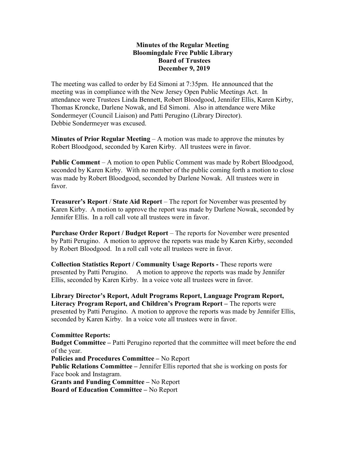## Minutes of the Regular Meeting Bloomingdale Free Public Library Board of Trustees December 9, 2019

The meeting was called to order by Ed Simoni at 7:35pm. He announced that the meeting was in compliance with the New Jersey Open Public Meetings Act. In attendance were Trustees Linda Bennett, Robert Bloodgood, Jennifer Ellis, Karen Kirby, Thomas Kroncke, Darlene Nowak, and Ed Simoni. Also in attendance were Mike Sondermeyer (Council Liaison) and Patti Perugino (Library Director). Debbie Sondermeyer was excused.

**Minutes of Prior Regular Meeting – A** motion was made to approve the minutes by Robert Bloodgood, seconded by Karen Kirby. All trustees were in favor.

Public Comment – A motion to open Public Comment was made by Robert Bloodgood, seconded by Karen Kirby. With no member of the public coming forth a motion to close was made by Robert Bloodgood, seconded by Darlene Nowak. All trustees were in favor.

Treasurer's Report / State Aid Report – The report for November was presented by Karen Kirby. A motion to approve the report was made by Darlene Nowak, seconded by Jennifer Ellis. In a roll call vote all trustees were in favor.

Purchase Order Report / Budget Report – The reports for November were presented by Patti Perugino. A motion to approve the reports was made by Karen Kirby, seconded by Robert Bloodgood. In a roll call vote all trustees were in favor.

Collection Statistics Report / Community Usage Reports - These reports were presented by Patti Perugino. A motion to approve the reports was made by Jennifer Ellis, seconded by Karen Kirby. In a voice vote all trustees were in favor.

Library Director's Report, Adult Programs Report, Language Program Report, Literacy Program Report, and Children's Program Report – The reports were presented by Patti Perugino. A motion to approve the reports was made by Jennifer Ellis, seconded by Karen Kirby. In a voice vote all trustees were in favor.

## Committee Reports:

Budget Committee – Patti Perugino reported that the committee will meet before the end of the year.

Policies and Procedures Committee – No Report

Public Relations Committee – Jennifer Ellis reported that she is working on posts for Face book and Instagram.

Grants and Funding Committee – No Report Board of Education Committee – No Report